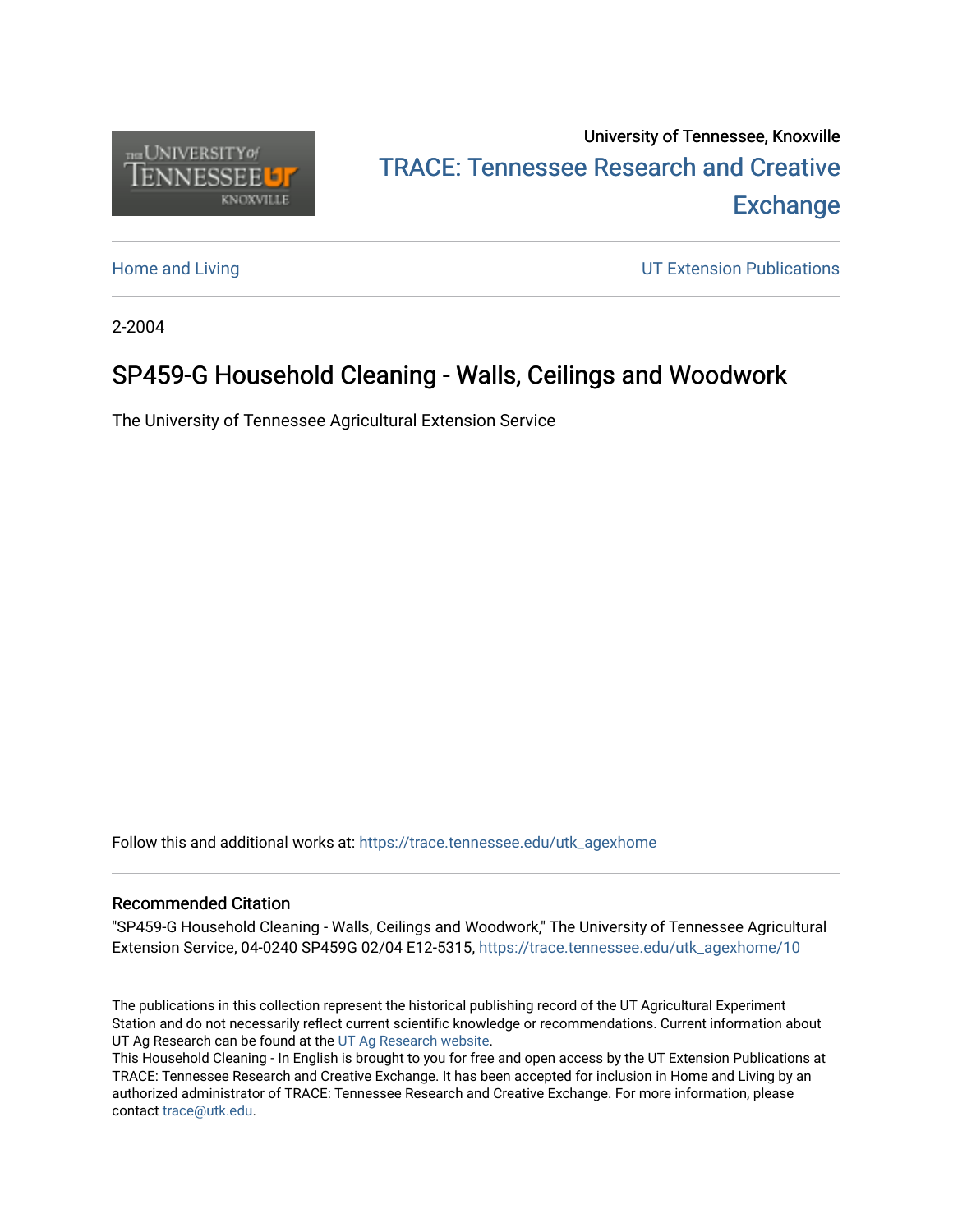

## University of Tennessee, Knoxville TRACE: T[ennessee Research and Cr](https://trace.tennessee.edu/)eative **Exchange**

[Home and Living](https://trace.tennessee.edu/utk_agexhome) **Extension Publications UT Extension Publications** 

2-2004

## SP459-G Household Cleaning - Walls, Ceilings and Woodwork

The University of Tennessee Agricultural Extension Service

Follow this and additional works at: [https://trace.tennessee.edu/utk\\_agexhome](https://trace.tennessee.edu/utk_agexhome?utm_source=trace.tennessee.edu%2Futk_agexhome%2F10&utm_medium=PDF&utm_campaign=PDFCoverPages)

### Recommended Citation

"SP459-G Household Cleaning - Walls, Ceilings and Woodwork," The University of Tennessee Agricultural Extension Service, 04-0240 SP459G 02/04 E12-5315, [https://trace.tennessee.edu/utk\\_agexhome/10](https://trace.tennessee.edu/utk_agexhome/10) 

The publications in this collection represent the historical publishing record of the UT Agricultural Experiment Station and do not necessarily reflect current scientific knowledge or recommendations. Current information about UT Ag Research can be found at the [UT Ag Research website.](http://agresearch.tennessee.edu/)

This Household Cleaning - In English is brought to you for free and open access by the UT Extension Publications at TRACE: Tennessee Research and Creative Exchange. It has been accepted for inclusion in Home and Living by an authorized administrator of TRACE: Tennessee Research and Creative Exchange. For more information, please contact [trace@utk.edu](mailto:trace@utk.edu).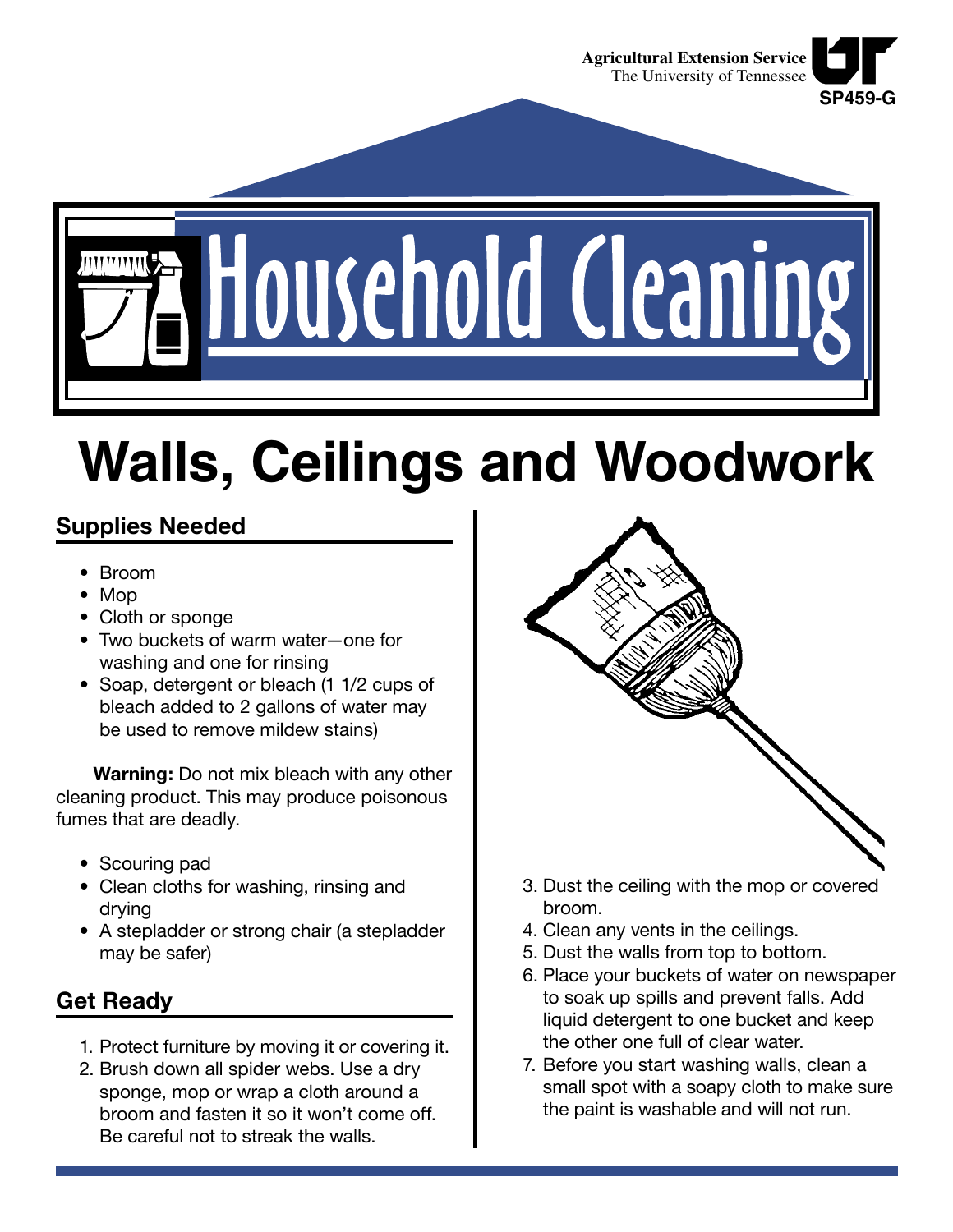

Household Cleaning

# **Walls, Ceilings and Woodwork**

## **Supplies Needed**

- Broom
- Mop
- Cloth or sponge
- Two buckets of warm water—one for washing and one for rinsing
- Soap, detergent or bleach (1 1/2 cups of bleach added to 2 gallons of water may be used to remove mildew stains)

**Warning:** Do not mix bleach with any other cleaning product. This may produce poisonous fumes that are deadly.

- Scouring pad
- Clean cloths for washing, rinsing and drying
- A stepladder or strong chair (a stepladder may be safer)

## **Get Ready**

- 1. Protect furniture by moving it or covering it.
- 2. Brush down all spider webs. Use a dry sponge, mop or wrap a cloth around a broom and fasten it so it won't come off. Be careful not to streak the walls.



- 3. Dust the ceiling with the mop or covered broom.
- 4. Clean any vents in the ceilings.
- 5. Dust the walls from top to bottom.
- 6. Place your buckets of water on newspaper to soak up spills and prevent falls. Add liquid detergent to one bucket and keep the other one full of clear water.
- 7. Before you start washing walls, clean a small spot with a soapy cloth to make sure the paint is washable and will not run.